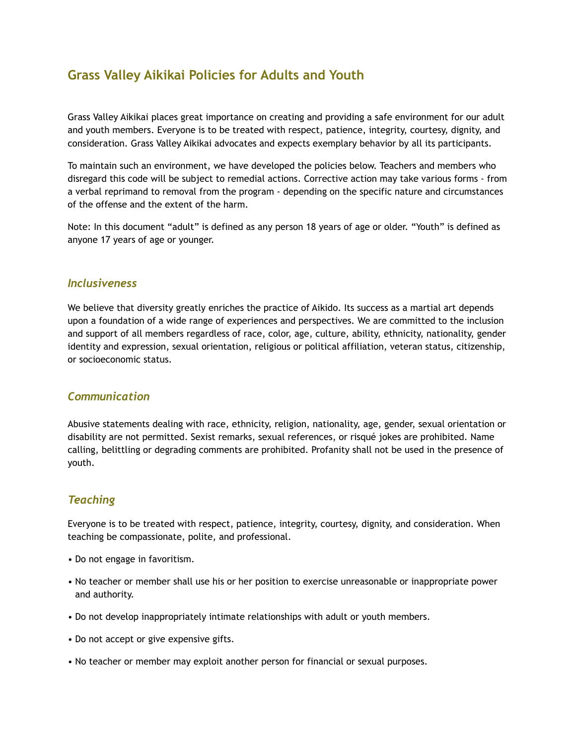# **Grass Valley Aikikai Policies for Adults and Youth**

Grass Valley Aikikai places great importance on creating and providing a safe environment for our adult and youth members. Everyone is to be treated with respect, patience, integrity, courtesy, dignity, and consideration. Grass Valley Aikikai advocates and expects exemplary behavior by all its participants.

To maintain such an environment, we have developed the policies below. Teachers and members who disregard this code will be subject to remedial actions. Corrective action may take various forms - from a verbal reprimand to removal from the program - depending on the specific nature and circumstances of the offense and the extent of the harm.

Note: In this document "adult" is defined as any person 18 years of age or older. "Youth" is defined as anyone 17 years of age or younger.

#### *Inclusiveness*

We believe that diversity greatly enriches the practice of Aikido. Its success as a martial art depends upon a foundation of a wide range of experiences and perspectives. We are committed to the inclusion and support of all members regardless of race, color, age, culture, ability, ethnicity, nationality, gender identity and expression, sexual orientation, religious or political affiliation, veteran status, citizenship, or socioeconomic status.

#### *Communication*

Abusive statements dealing with race, ethnicity, religion, nationality, age, gender, sexual orientation or disability are not permitted. Sexist remarks, sexual references, or risqué jokes are prohibited. Name calling, belittling or degrading comments are prohibited. Profanity shall not be used in the presence of youth.

#### *Teaching*

Everyone is to be treated with respect, patience, integrity, courtesy, dignity, and consideration. When teaching be compassionate, polite, and professional.

- Do not engage in favoritism.
- No teacher or member shall use his or her position to exercise unreasonable or inappropriate power and authority.
- Do not develop inappropriately intimate relationships with adult or youth members.
- Do not accept or give expensive gifts.
- No teacher or member may exploit another person for financial or sexual purposes.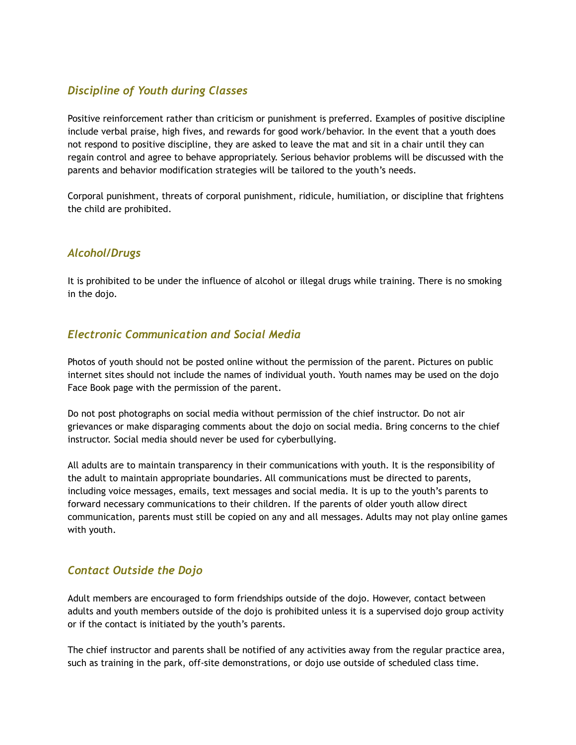# *Discipline of Youth during Classes*

Positive reinforcement rather than criticism or punishment is preferred. Examples of positive discipline include verbal praise, high fives, and rewards for good work/behavior. In the event that a youth does not respond to positive discipline, they are asked to leave the mat and sit in a chair until they can regain control and agree to behave appropriately. Serious behavior problems will be discussed with the parents and behavior modification strategies will be tailored to the youth's needs.

Corporal punishment, threats of corporal punishment, ridicule, humiliation, or discipline that frightens the child are prohibited.

### *Alcohol/Drugs*

It is prohibited to be under the influence of alcohol or illegal drugs while training. There is no smoking in the dojo.

### *Electronic Communication and Social Media*

Photos of youth should not be posted online without the permission of the parent. Pictures on public internet sites should not include the names of individual youth. Youth names may be used on the dojo Face Book page with the permission of the parent.

Do not post photographs on social media without permission of the chief instructor. Do not air grievances or make disparaging comments about the dojo on social media. Bring concerns to the chief instructor. Social media should never be used for cyberbullying.

All adults are to maintain transparency in their communications with youth. It is the responsibility of the adult to maintain appropriate boundaries. All communications must be directed to parents, including voice messages, emails, text messages and social media. It is up to the youth's parents to forward necessary communications to their children. If the parents of older youth allow direct communication, parents must still be copied on any and all messages. Adults may not play online games with youth.

#### *Contact Outside the Dojo*

Adult members are encouraged to form friendships outside of the dojo. However, contact between adults and youth members outside of the dojo is prohibited unless it is a supervised dojo group activity or if the contact is initiated by the youth's parents.

The chief instructor and parents shall be notified of any activities away from the regular practice area, such as training in the park, off-site demonstrations, or dojo use outside of scheduled class time.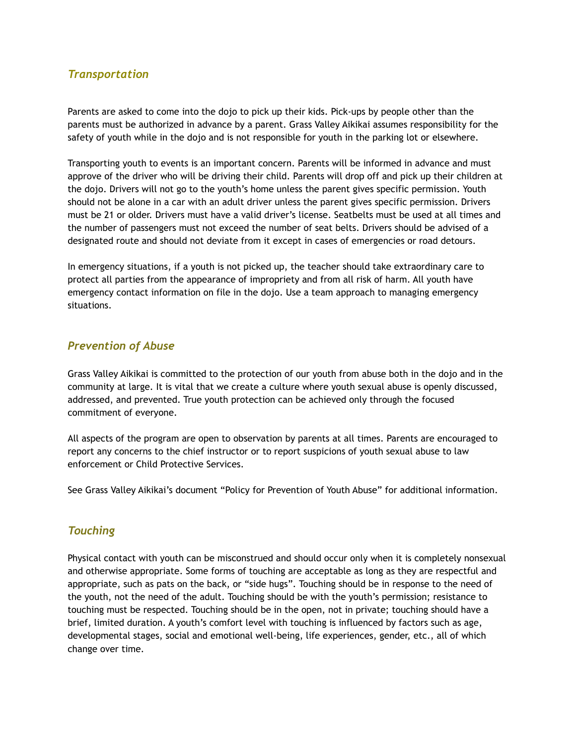#### *Transportation*

Parents are asked to come into the dojo to pick up their kids. Pick-ups by people other than the parents must be authorized in advance by a parent. Grass Valley Aikikai assumes responsibility for the safety of youth while in the dojo and is not responsible for youth in the parking lot or elsewhere.

Transporting youth to events is an important concern. Parents will be informed in advance and must approve of the driver who will be driving their child. Parents will drop off and pick up their children at the dojo. Drivers will not go to the youth's home unless the parent gives specific permission. Youth should not be alone in a car with an adult driver unless the parent gives specific permission. Drivers must be 21 or older. Drivers must have a valid driver's license. Seatbelts must be used at all times and the number of passengers must not exceed the number of seat belts. Drivers should be advised of a designated route and should not deviate from it except in cases of emergencies or road detours.

In emergency situations, if a youth is not picked up, the teacher should take extraordinary care to protect all parties from the appearance of impropriety and from all risk of harm. All youth have emergency contact information on file in the dojo. Use a team approach to managing emergency situations.

#### *Prevention of Abuse*

Grass Valley Aikikai is committed to the protection of our youth from abuse both in the dojo and in the community at large. It is vital that we create a culture where youth sexual abuse is openly discussed, addressed, and prevented. True youth protection can be achieved only through the focused commitment of everyone.

All aspects of the program are open to observation by parents at all times. Parents are encouraged to report any concerns to the chief instructor or to report suspicions of youth sexual abuse to law enforcement or Child Protective Services.

See Grass Valley Aikikai's document "Policy for Prevention of Youth Abuse" for additional information.

#### *Touching*

Physical contact with youth can be misconstrued and should occur only when it is completely nonsexual and otherwise appropriate. Some forms of touching are acceptable as long as they are respectful and appropriate, such as pats on the back, or "side hugs". Touching should be in response to the need of the youth, not the need of the adult. Touching should be with the youth's permission; resistance to touching must be respected. Touching should be in the open, not in private; touching should have a brief, limited duration. A youth's comfort level with touching is influenced by factors such as age, developmental stages, social and emotional well-being, life experiences, gender, etc., all of which change over time.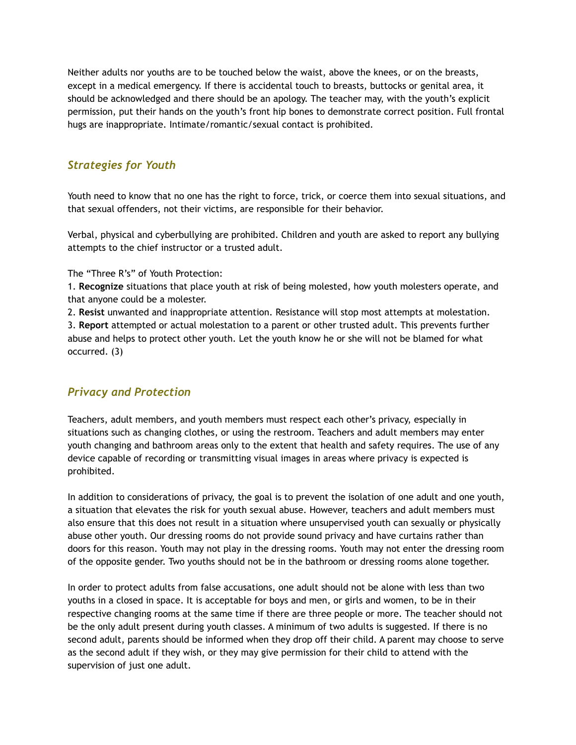Neither adults nor youths are to be touched below the waist, above the knees, or on the breasts, except in a medical emergency. If there is accidental touch to breasts, buttocks or genital area, it should be acknowledged and there should be an apology. The teacher may, with the youth's explicit permission, put their hands on the youth's front hip bones to demonstrate correct position. Full frontal hugs are inappropriate. Intimate/romantic/sexual contact is prohibited.

# *Strategies for Youth*

Youth need to know that no one has the right to force, trick, or coerce them into sexual situations, and that sexual offenders, not their victims, are responsible for their behavior.

Verbal, physical and cyberbullying are prohibited. Children and youth are asked to report any bullying attempts to the chief instructor or a trusted adult.

The "Three R's" of Youth Protection:

1. **Recognize** situations that place youth at risk of being molested, how youth molesters operate, and that anyone could be a molester.

2. **Resist** unwanted and inappropriate attention. Resistance will stop most attempts at molestation. 3. **Report** attempted or actual molestation to a parent or other trusted adult. This prevents further abuse and helps to protect other youth. Let the youth know he or she will not be blamed for what occurred. (3)

# *Privacy and Protection*

Teachers, adult members, and youth members must respect each other's privacy, especially in situations such as changing clothes, or using the restroom. Teachers and adult members may enter youth changing and bathroom areas only to the extent that health and safety requires. The use of any device capable of recording or transmitting visual images in areas where privacy is expected is prohibited.

In addition to considerations of privacy, the goal is to prevent the isolation of one adult and one youth, a situation that elevates the risk for youth sexual abuse. However, teachers and adult members must also ensure that this does not result in a situation where unsupervised youth can sexually or physically abuse other youth. Our dressing rooms do not provide sound privacy and have curtains rather than doors for this reason. Youth may not play in the dressing rooms. Youth may not enter the dressing room of the opposite gender. Two youths should not be in the bathroom or dressing rooms alone together.

In order to protect adults from false accusations, one adult should not be alone with less than two youths in a closed in space. It is acceptable for boys and men, or girls and women, to be in their respective changing rooms at the same time if there are three people or more. The teacher should not be the only adult present during youth classes. A minimum of two adults is suggested. If there is no second adult, parents should be informed when they drop off their child. A parent may choose to serve as the second adult if they wish, or they may give permission for their child to attend with the supervision of just one adult.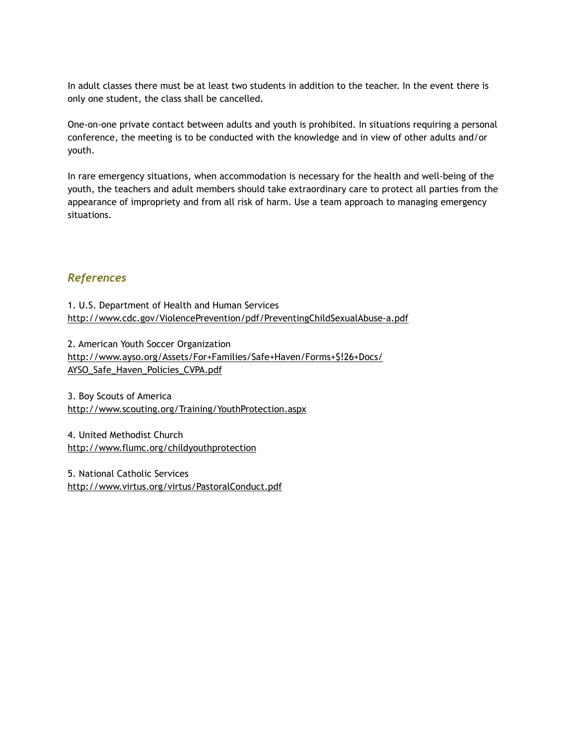In adult classes there must be at least two students in addition to the teacher. In the event there is only one student, the class shall be cancelled.

One-on-one private contact between adults and youth is prohibited. In situations requiring a personal conference, the meeting is to be conducted with the knowledge and in view of other adults and/or youth.

In rare emergency situations, when accommodation is necessary for the health and well-being of the youth, the teachers and adult members should take extraordinary care to protect all parties from the appearance of impropriety and from all risk of harm. Use a team approach to managing emergency situations.

#### *References*

1. U.S. Department of Health and Human Services http://www.cdc.gov/ViolencePrevention/pdf/PreventingChildSexualAbuse-a.pdf

2. American Youth Soccer Organization http://www.ayso.org/Assets/For+Families/Safe+Haven/Forms+\$!26+Docs/ AYSO\_Safe\_Haven\_Policies\_CVPA.pdf

3. Boy Scouts of America http://www.scouting.org/Training/YouthProtection.aspx

4. United Methodist Church http://www.flumc.org/childyouthprotection

5. National Catholic Services http://www.virtus.org/virtus/PastoralConduct.pdf